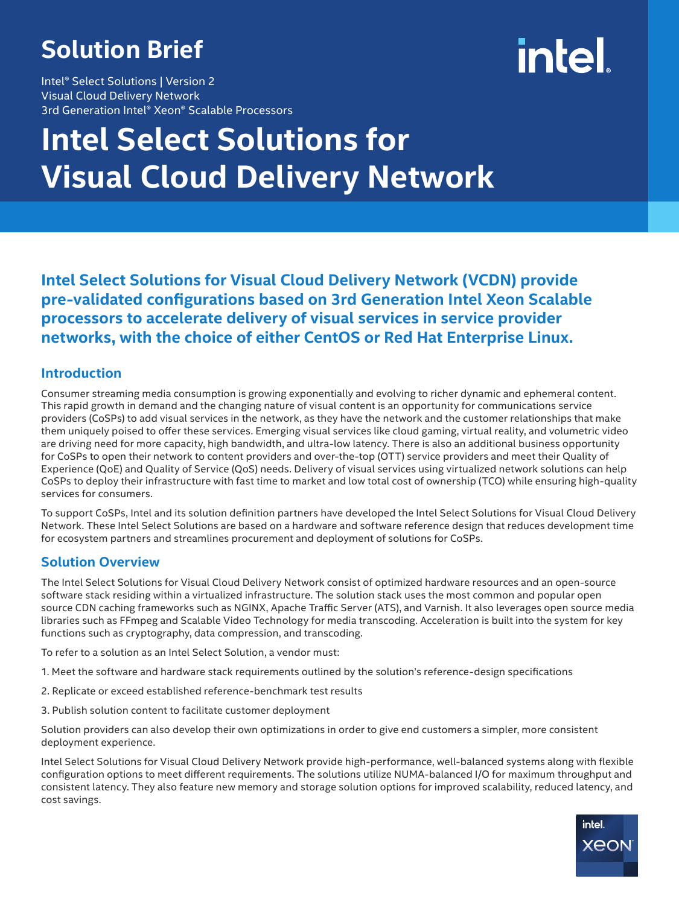### **Solution Brief**

Intel® Select Solutions | Version 2 Visual Cloud Delivery Network 3rd Generation Intel® Xeon® Scalable Processors

# intel

## **Intel Select Solutions for Visual Cloud Delivery Network**

**Intel Select Solutions for Visual Cloud Delivery Network (VCDN) provide pre-validated configurations based on 3rd Generation Intel Xeon Scalable processors to accelerate delivery of visual services in service provider networks, with the choice of either CentOS or Red Hat Enterprise Linux.**

#### **Introduction**

Consumer streaming media consumption is growing exponentially and evolving to richer dynamic and ephemeral content. This rapid growth in demand and the changing nature of visual content is an opportunity for communications service providers (CoSPs) to add visual services in the network, as they have the network and the customer relationships that make them uniquely poised to offer these services. Emerging visual services like cloud gaming, virtual reality, and volumetric video are driving need for more capacity, high bandwidth, and ultra-low latency. There is also an additional business opportunity for CoSPs to open their network to content providers and over-the-top (OTT) service providers and meet their Quality of Experience (QoE) and Quality of Service (QoS) needs. Delivery of visual services using virtualized network solutions can help CoSPs to deploy their infrastructure with fast time to market and low total cost of ownership (TCO) while ensuring high-quality services for consumers.

To support CoSPs, Intel and its solution definition partners have developed the Intel Select Solutions for Visual Cloud Delivery Network. These Intel Select Solutions are based on a hardware and software reference design that reduces development time for ecosystem partners and streamlines procurement and deployment of solutions for CoSPs.

#### **Solution Overview**

The Intel Select Solutions for Visual Cloud Delivery Network consist of optimized hardware resources and an open-source software stack residing within a virtualized infrastructure. The solution stack uses the most common and popular open source CDN caching frameworks such as NGINX, Apache Traffic Server (ATS), and Varnish. It also leverages open source media libraries such as FFmpeg and Scalable Video Technology for media transcoding. Acceleration is built into the system for key functions such as cryptography, data compression, and transcoding.

To refer to a solution as an Intel Select Solution, a vendor must:

- 1. Meet the software and hardware stack requirements outlined by the solution's reference-design specifications
- 2. Replicate or exceed established reference-benchmark test results
- 3. Publish solution content to facilitate customer deployment

Solution providers can also develop their own optimizations in order to give end customers a simpler, more consistent deployment experience.

Intel Select Solutions for Visual Cloud Delivery Network provide high-performance, well-balanced systems along with flexible configuration options to meet different requirements. The solutions utilize NUMA-balanced I/O for maximum throughput and consistent latency. They also feature new memory and storage solution options for improved scalability, reduced latency, and cost savings.

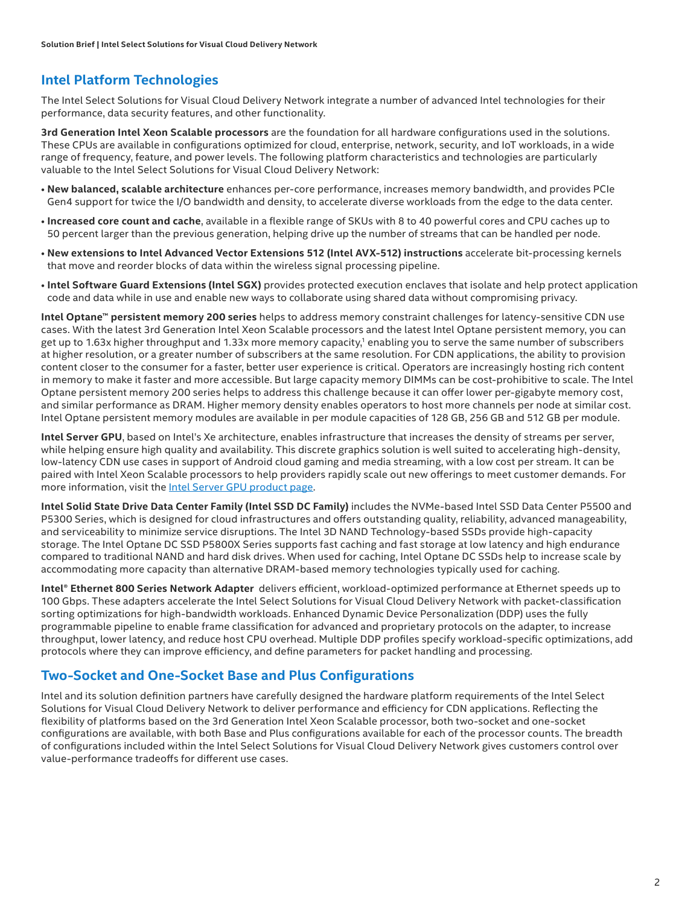#### **Intel Platform Technologies**

The Intel Select Solutions for Visual Cloud Delivery Network integrate a number of advanced Intel technologies for their performance, data security features, and other functionality.

**3rd Generation Intel Xeon Scalable processors** are the foundation for all hardware configurations used in the solutions. These CPUs are available in configurations optimized for cloud, enterprise, network, security, and IoT workloads, in a wide range of frequency, feature, and power levels. The following platform characteristics and technologies are particularly valuable to the Intel Select Solutions for Visual Cloud Delivery Network:

- **New balanced, scalable architecture** enhances per-core performance, increases memory bandwidth, and provides PCIe Gen4 support for twice the I/O bandwidth and density, to accelerate diverse workloads from the edge to the data center.
- **Increased core count and cache**, available in a flexible range of SKUs with 8 to 40 powerful cores and CPU caches up to 50 percent larger than the previous generation, helping drive up the number of streams that can be handled per node.
- **New extensions to Intel Advanced Vector Extensions 512 (Intel AVX-512) instructions** accelerate bit-processing kernels that move and reorder blocks of data within the wireless signal processing pipeline.
- **Intel Software Guard Extensions (Intel SGX)** provides protected execution enclaves that isolate and help protect application code and data while in use and enable new ways to collaborate using shared data without compromising privacy.

**Intel Optane™ persistent memory 200 series** helps to address memory constraint challenges for latency-sensitive CDN use cases. With the latest 3rd Generation Intel Xeon Scalable processors and the latest Intel Optane persistent memory, you can get up to 1.63x higher throughput and 1.33x more memory capacity,<sup>1</sup> enabling you to serve the same number of subscribers at higher resolution, or a greater number of subscribers at the same resolution. For CDN applications, the ability to provision content closer to the consumer for a faster, better user experience is critical. Operators are increasingly hosting rich content in memory to make it faster and more accessible. But large capacity memory DIMMs can be cost-prohibitive to scale. The Intel Optane persistent memory 200 series helps to address this challenge because it can offer lower per-gigabyte memory cost, and similar performance as DRAM. Higher memory density enables operators to host more channels per node at similar cost. Intel Optane persistent memory modules are available in per module capacities of 128 GB, 256 GB and 512 GB per module.

**Intel Server GPU**, based on Intel's Xe architecture, enables infrastructure that increases the density of streams per server, while helping ensure high quality and availability. This discrete graphics solution is well suited to accelerating high-density, low-latency CDN use cases in support of Android cloud gaming and media streaming, with a low cost per stream. It can be paired with Intel Xeon Scalable processors to help providers rapidly scale out new offerings to meet customer demands. For more information, visit the [Intel Server GPU product page](https://www.intel.com/servergpu).

**Intel Solid State Drive Data Center Family (Intel SSD DC Family)** includes the NVMe-based Intel SSD Data Center P5500 and P5300 Series, which is designed for cloud infrastructures and offers outstanding quality, reliability, advanced manageability, and serviceability to minimize service disruptions. The Intel 3D NAND Technology-based SSDs provide high-capacity storage. The Intel Optane DC SSD P5800X Series supports fast caching and fast storage at low latency and high endurance compared to traditional NAND and hard disk drives. When used for caching, Intel Optane DC SSDs help to increase scale by accommodating more capacity than alternative DRAM-based memory technologies typically used for caching.

**Intel® Ethernet 800 Series Network Adapter** delivers efficient, workload-optimized performance at Ethernet speeds up to 100 Gbps. These adapters accelerate the Intel Select Solutions for Visual Cloud Delivery Network with packet-classification sorting optimizations for high-bandwidth workloads. Enhanced Dynamic Device Personalization (DDP) uses the fully programmable pipeline to enable frame classification for advanced and proprietary protocols on the adapter, to increase throughput, lower latency, and reduce host CPU overhead. Multiple DDP profiles specify workload-specific optimizations, add protocols where they can improve efficiency, and define parameters for packet handling and processing.

#### **Two-Socket and One-Socket Base and Plus Configurations**

Intel and its solution definition partners have carefully designed the hardware platform requirements of the Intel Select Solutions for Visual Cloud Delivery Network to deliver performance and efficiency for CDN applications. Reflecting the flexibility of platforms based on the 3rd Generation Intel Xeon Scalable processor, both two-socket and one-socket configurations are available, with both Base and Plus configurations available for each of the processor counts. The breadth of configurations included within the Intel Select Solutions for Visual Cloud Delivery Network gives customers control over value-performance tradeoffs for different use cases.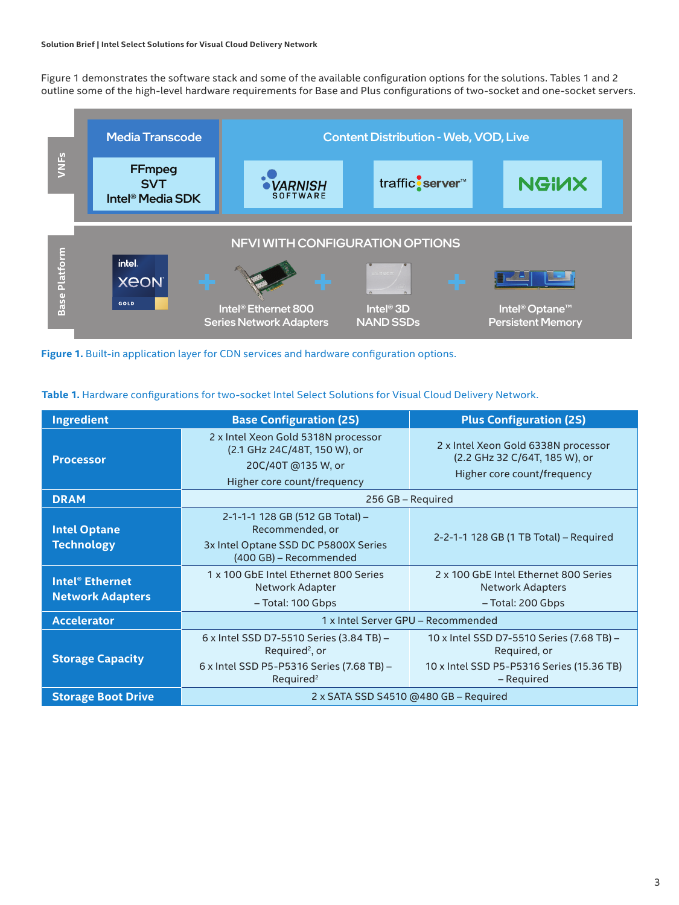#### **Solution Brief | Intel Select Solutions for Visual Cloud Delivery Network**

Figure 1 demonstrates the software stack and some of the available configuration options for the solutions. Tables 1 and 2 outline some of the high-level hardware requirements for Base and Plus configurations of two-socket and one-socket servers.



Figure 1. Built-in application layer for CDN services and hardware configuration options.

| <b>Ingredient</b>                                            | <b>Base Configuration (2S)</b>                                                                                                               | <b>Plus Configuration (2S)</b>                                                                                       |  |  |
|--------------------------------------------------------------|----------------------------------------------------------------------------------------------------------------------------------------------|----------------------------------------------------------------------------------------------------------------------|--|--|
| <b>Processor</b>                                             | 2 x Intel Xeon Gold 5318N processor<br>(2.1 GHz 24C/48T, 150 W), or<br>20C/40T @135 W, or<br>Higher core count/frequency                     | 2 x Intel Xeon Gold 6338N processor<br>(2.2 GHz 32 C/64T, 185 W), or<br>Higher core count/frequency                  |  |  |
| <b>DRAM</b>                                                  | 256 GB - Required                                                                                                                            |                                                                                                                      |  |  |
| <b>Intel Optane</b><br><b>Technology</b>                     | 2-1-1-1 128 GB (512 GB Total) -<br>Recommended, or<br>3x Intel Optane SSD DC P5800X Series<br>(400 GB) – Recommended                         | 2-2-1-1 128 GB (1 TB Total) - Required                                                                               |  |  |
| <b>Intel<sup>®</sup></b> Ethernet<br><b>Network Adapters</b> | 1 x 100 GbE Intel Ethernet 800 Series<br>Network Adapter<br>- Total: 100 Gbps                                                                | 2 x 100 GbE Intel Ethernet 800 Series<br><b>Network Adapters</b><br>- Total: 200 Gbps                                |  |  |
| <b>Accelerator</b>                                           | 1 x Intel Server GPU - Recommended                                                                                                           |                                                                                                                      |  |  |
| <b>Storage Capacity</b>                                      | 6 x Intel SSD D7-5510 Series (3.84 TB) -<br>Required <sup>2</sup> , or<br>6 x Intel SSD P5-P5316 Series (7.68 TB) -<br>Required <sup>2</sup> | 10 x Intel SSD D7-5510 Series (7.68 TB) -<br>Required, or<br>10 x Intel SSD P5-P5316 Series (15.36 TB)<br>– Required |  |  |
| <b>Storage Boot Drive</b>                                    | 2 x SATA SSD S4510 @480 GB - Required                                                                                                        |                                                                                                                      |  |  |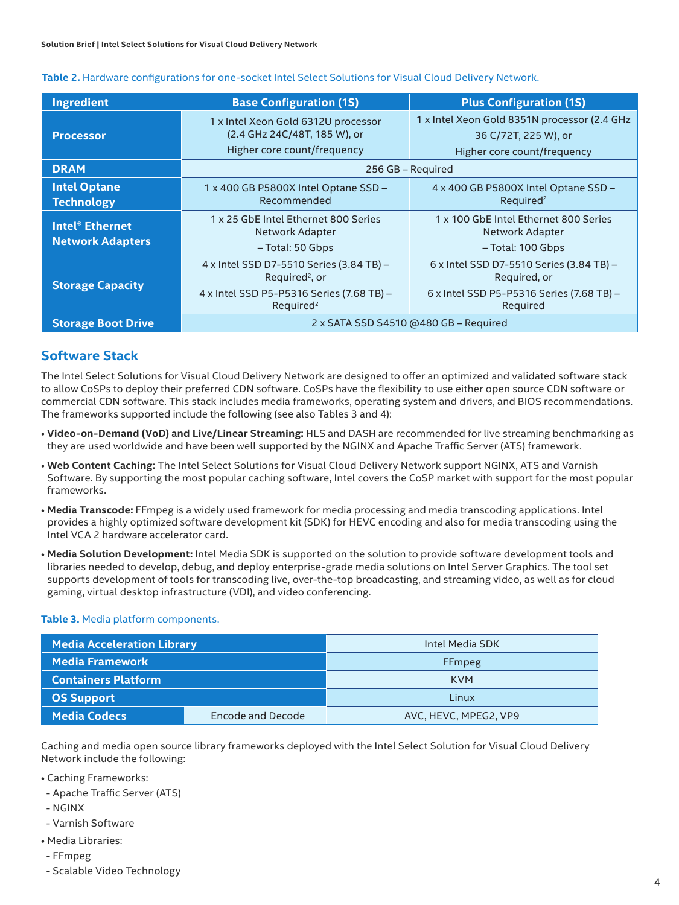| Ingredient                                                   | <b>Base Configuration (1S)</b>                                                                     | <b>Plus Configuration (1S)</b>                                                                      |  |  |  |
|--------------------------------------------------------------|----------------------------------------------------------------------------------------------------|-----------------------------------------------------------------------------------------------------|--|--|--|
| <b>Processor</b>                                             | 1 x Intel Xeon Gold 6312U processor<br>(2.4 GHz 24C/48T, 185 W), or<br>Higher core count/frequency | 1 x Intel Xeon Gold 8351N processor (2.4 GHz<br>36 C/72T, 225 W), or<br>Higher core count/frequency |  |  |  |
| <b>DRAM</b>                                                  | 256 GB - Required                                                                                  |                                                                                                     |  |  |  |
| <b>Intel Optane</b><br><b>Technology</b>                     | 1 x 400 GB P5800X Intel Optane SSD -<br>Recommended                                                | 4 x 400 GB P5800X Intel Optane SSD -<br>Required <sup>2</sup>                                       |  |  |  |
| <b>Intel<sup>®</sup></b> Ethernet<br><b>Network Adapters</b> | 1 x 25 GbE Intel Ethernet 800 Series<br>Network Adapter                                            | 1 x 100 GbE Intel Ethernet 800 Series<br>Network Adapter                                            |  |  |  |
|                                                              | - Total: 50 Gbps                                                                                   | - Total: 100 Gbps                                                                                   |  |  |  |
| <b>Storage Capacity</b>                                      | 4 x Intel SSD D7-5510 Series (3.84 TB) -<br>Required <sup>2</sup> , or                             | 6 x Intel SSD D7-5510 Series (3.84 TB) -<br>Required, or                                            |  |  |  |
|                                                              | 4 x Intel SSD P5-P5316 Series (7.68 TB) -<br>Required <sup>2</sup>                                 | 6 x Intel SSD P5-P5316 Series (7.68 TB) -<br>Required                                               |  |  |  |
| <b>Storage Boot Drive</b>                                    | 2 x SATA SSD S4510 @480 GB - Required                                                              |                                                                                                     |  |  |  |

#### **Table 2.** Hardware configurations for one-socket Intel Select Solutions for Visual Cloud Delivery Network.

#### **Software Stack**

The Intel Select Solutions for Visual Cloud Delivery Network are designed to offer an optimized and validated software stack to allow CoSPs to deploy their preferred CDN software. CoSPs have the flexibility to use either open source CDN software or commercial CDN software. This stack includes media frameworks, operating system and drivers, and BIOS recommendations. The frameworks supported include the following (see also Tables 3 and 4):

- **Video-on-Demand (VoD) and Live/Linear Streaming:** HLS and DASH are recommended for live streaming benchmarking as they are used worldwide and have been well supported by the NGINX and Apache Traffic Server (ATS) framework.
- **Web Content Caching:** The Intel Select Solutions for Visual Cloud Delivery Network support NGINX, ATS and Varnish Software. By supporting the most popular caching software, Intel covers the CoSP market with support for the most popular frameworks.
- **Media Transcode:** FFmpeg is a widely used framework for media processing and media transcoding applications. Intel provides a highly optimized software development kit (SDK) for HEVC encoding and also for media transcoding using the Intel VCA 2 hardware accelerator card.
- **Media Solution Development:** Intel Media SDK is supported on the solution to provide software development tools and libraries needed to develop, debug, and deploy enterprise-grade media solutions on Intel Server Graphics. The tool set supports development of tools for transcoding live, over-the-top broadcasting, and streaming video, as well as for cloud gaming, virtual desktop infrastructure (VDI), and video conferencing.

#### **Table 3.** Media platform components.

| <b>Media Acceleration Library</b> |                   | Intel Media SDK       |  |  |
|-----------------------------------|-------------------|-----------------------|--|--|
| Media Framework                   |                   | <b>FFmpeg</b>         |  |  |
| <b>Containers Platform</b>        |                   | <b>KVM</b>            |  |  |
| <b>OS Support</b>                 |                   | Linux                 |  |  |
| <b>Media Codecs</b>               | Encode and Decode | AVC, HEVC, MPEG2, VP9 |  |  |

Caching and media open source library frameworks deployed with the Intel Select Solution for Visual Cloud Delivery Network include the following:

- Caching Frameworks:
- Apache Traffic Server (ATS)
- NGINX
- Varnish Software
- Media Libraries:
- FFmpeg
- Scalable Video Technology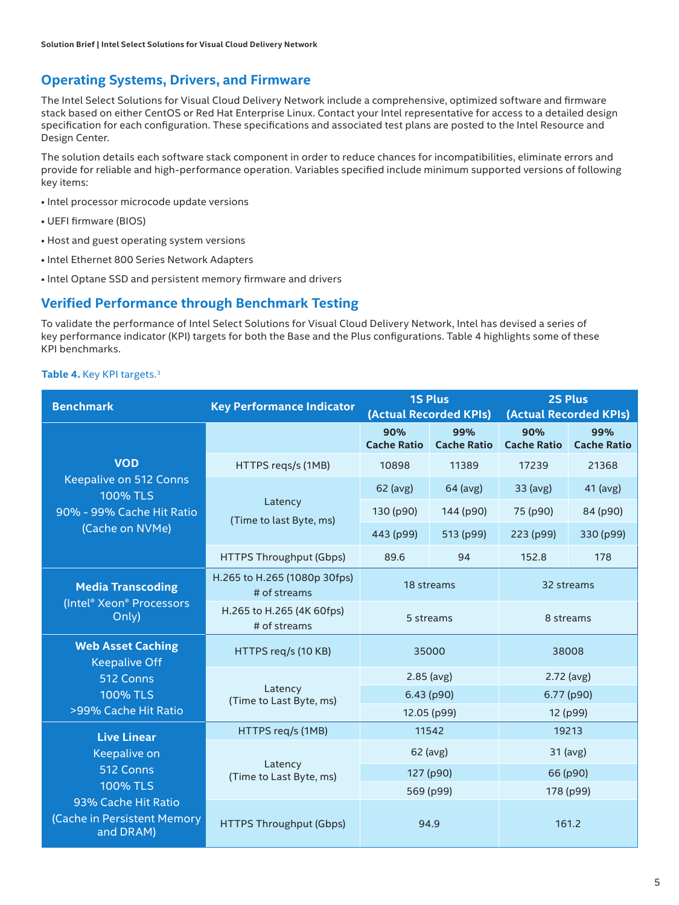#### **Operating Systems, Drivers, and Firmware**

The Intel Select Solutions for Visual Cloud Delivery Network include a comprehensive, optimized software and firmware stack based on either CentOS or Red Hat Enterprise Linux. Contact your Intel representative for access to a detailed design specification for each configuration. These specifications and associated test plans are posted to the Intel Resource and Design Center.

The solution details each software stack component in order to reduce chances for incompatibilities, eliminate errors and provide for reliable and high-performance operation. Variables specified include minimum supported versions of following key items:

- Intel processor microcode update versions
- UEFI firmware (BIOS)
- Host and guest operating system versions
- Intel Ethernet 800 Series Network Adapters
- Intel Optane SSD and persistent memory firmware and drivers

#### **Verified Performance through Benchmark Testing**

To validate the performance of Intel Select Solutions for Visual Cloud Delivery Network, Intel has devised a series of key performance indicator (KPI) targets for both the Base and the Plus configurations. Table 4 highlights some of these KPI benchmarks.

#### **Table 4.** Key KPI targets.<sup>3</sup>

| <b>Benchmark</b>                                                                                                                      | <b>Key Performance Indicator</b>             | <b>1S Plus</b><br>(Actual Recorded KPIs) |                           | <b>2S Plus</b><br>(Actual Recorded KPIs) |                           |
|---------------------------------------------------------------------------------------------------------------------------------------|----------------------------------------------|------------------------------------------|---------------------------|------------------------------------------|---------------------------|
|                                                                                                                                       |                                              | 90%<br><b>Cache Ratio</b>                | 99%<br><b>Cache Ratio</b> | 90%<br><b>Cache Ratio</b>                | 99%<br><b>Cache Ratio</b> |
| <b>VOD</b><br>Keepalive on 512 Conns<br><b>100% TLS</b><br>90% - 99% Cache Hit Ratio<br>(Cache on NVMe)                               | HTTPS regs/s (1MB)                           | 10898                                    | 11389                     | 17239                                    | 21368                     |
|                                                                                                                                       | Latency<br>(Time to last Byte, ms)           | 62 (avg)                                 | 64 (avg)                  | 33 (avg)                                 | 41 (avg)                  |
|                                                                                                                                       |                                              | 130 (p90)                                | 144 (p90)                 | 75 (p90)                                 | 84 (p90)                  |
|                                                                                                                                       |                                              | 443 (p99)                                | 513 (p99)                 | 223 (p99)                                | 330 (p99)                 |
|                                                                                                                                       | <b>HTTPS Throughput (Gbps)</b>               | 89.6                                     | 94                        | 152.8                                    | 178                       |
| <b>Media Transcoding</b><br>(Intel® Xeon® Processors<br>Only)                                                                         | H.265 to H.265 (1080p 30fps)<br># of streams | 18 streams                               |                           | 32 streams                               |                           |
|                                                                                                                                       | H.265 to H.265 (4K 60fps)<br># of streams    | 5 streams                                |                           | 8 streams                                |                           |
| <b>Web Asset Caching</b><br><b>Keepalive Off</b><br>512 Conns                                                                         | HTTPS reg/s (10 KB)                          | 35000                                    |                           | 38008                                    |                           |
|                                                                                                                                       | Latency<br>(Time to Last Byte, ms)           | $2.85$ (avg)                             |                           | $2.72$ (avg)                             |                           |
| <b>100% TLS</b>                                                                                                                       |                                              | 6.43 (p90)                               |                           | 6.77 (p90)                               |                           |
| >99% Cache Hit Ratio                                                                                                                  |                                              | 12.05 (p99)                              |                           | 12 (p99)                                 |                           |
| <b>Live Linear</b><br>Keepalive on<br>512 Conns<br><b>100% TLS</b><br>93% Cache Hit Ratio<br>(Cache in Persistent Memory<br>and DRAM) | HTTPS req/s (1MB)                            | 11542                                    |                           | 19213                                    |                           |
|                                                                                                                                       | Latency<br>(Time to Last Byte, ms)           | 62 (avg)                                 |                           | 31 (avg)                                 |                           |
|                                                                                                                                       |                                              | 127 (p90)                                |                           | 66 (p90)                                 |                           |
|                                                                                                                                       |                                              | 569 (p99)                                |                           | 178 (p99)                                |                           |
|                                                                                                                                       | <b>HTTPS Throughput (Gbps)</b>               | 94.9                                     |                           | 161.2                                    |                           |